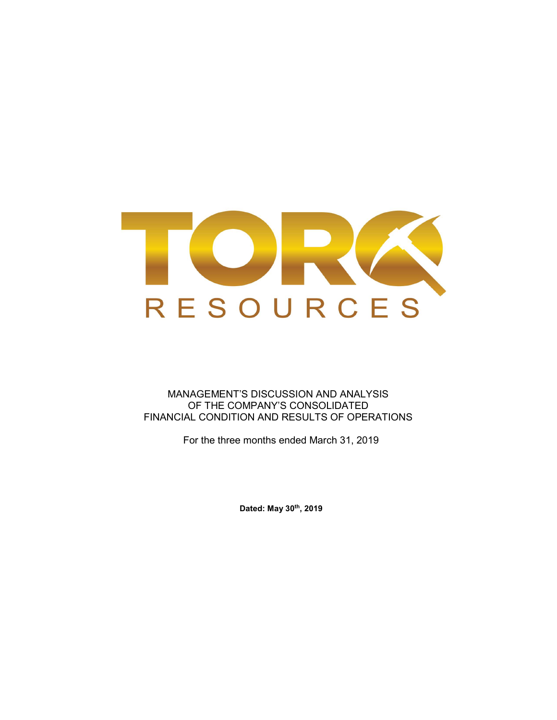

MANAGEMENT'S DISCUSSION AND ANALYSIS OF THE COMPANY'S CONSOLIDATED FINANCIAL CONDITION AND RESULTS OF OPERATIONS

For the three months ended March 31, 2019

Dated: May 30th, 2019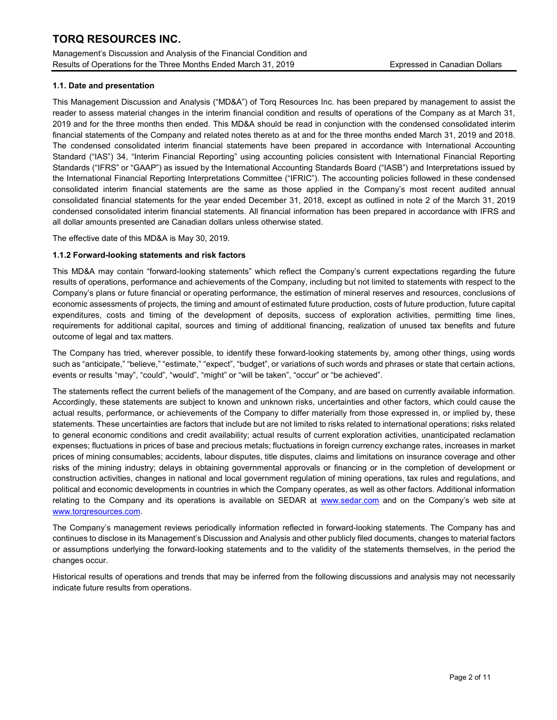Management's Discussion and Analysis of the Financial Condition and Results of Operations for the Three Months Ended March 31, 2019 Expressed in Canadian Dollars

### 1.1. Date and presentation

This Management Discussion and Analysis ("MD&A") of Torq Resources Inc. has been prepared by management to assist the reader to assess material changes in the interim financial condition and results of operations of the Company as at March 31, 2019 and for the three months then ended. This MD&A should be read in conjunction with the condensed consolidated interim financial statements of the Company and related notes thereto as at and for the three months ended March 31, 2019 and 2018. The condensed consolidated interim financial statements have been prepared in accordance with International Accounting Standard ("IAS") 34, "Interim Financial Reporting" using accounting policies consistent with International Financial Reporting Standards ("IFRS" or "GAAP") as issued by the International Accounting Standards Board ("IASB") and Interpretations issued by the International Financial Reporting Interpretations Committee ("IFRIC"). The accounting policies followed in these condensed consolidated interim financial statements are the same as those applied in the Company's most recent audited annual consolidated financial statements for the year ended December 31, 2018, except as outlined in note 2 of the March 31, 2019 condensed consolidated interim financial statements. All financial information has been prepared in accordance with IFRS and all dollar amounts presented are Canadian dollars unless otherwise stated.

The effective date of this MD&A is May 30, 2019.

### 1.1.2 Forward-looking statements and risk factors

This MD&A may contain "forward-looking statements" which reflect the Company's current expectations regarding the future results of operations, performance and achievements of the Company, including but not limited to statements with respect to the Company's plans or future financial or operating performance, the estimation of mineral reserves and resources, conclusions of economic assessments of projects, the timing and amount of estimated future production, costs of future production, future capital expenditures, costs and timing of the development of deposits, success of exploration activities, permitting time lines, requirements for additional capital, sources and timing of additional financing, realization of unused tax benefits and future outcome of legal and tax matters.

The Company has tried, wherever possible, to identify these forward-looking statements by, among other things, using words such as "anticipate," "believe," "estimate," "expect", "budget", or variations of such words and phrases or state that certain actions, events or results "may", "could", "would", "might" or "will be taken", "occur" or "be achieved".

The statements reflect the current beliefs of the management of the Company, and are based on currently available information. Accordingly, these statements are subject to known and unknown risks, uncertainties and other factors, which could cause the actual results, performance, or achievements of the Company to differ materially from those expressed in, or implied by, these statements. These uncertainties are factors that include but are not limited to risks related to international operations; risks related to general economic conditions and credit availability; actual results of current exploration activities, unanticipated reclamation expenses; fluctuations in prices of base and precious metals; fluctuations in foreign currency exchange rates, increases in market prices of mining consumables; accidents, labour disputes, title disputes, claims and limitations on insurance coverage and other risks of the mining industry; delays in obtaining governmental approvals or financing or in the completion of development or construction activities, changes in national and local government regulation of mining operations, tax rules and regulations, and political and economic developments in countries in which the Company operates, as well as other factors. Additional information relating to the Company and its operations is available on SEDAR at www.sedar.com and on the Company's web site at www.torqresources.com.

The Company's management reviews periodically information reflected in forward-looking statements. The Company has and continues to disclose in its Management's Discussion and Analysis and other publicly filed documents, changes to material factors or assumptions underlying the forward-looking statements and to the validity of the statements themselves, in the period the changes occur.

Historical results of operations and trends that may be inferred from the following discussions and analysis may not necessarily indicate future results from operations.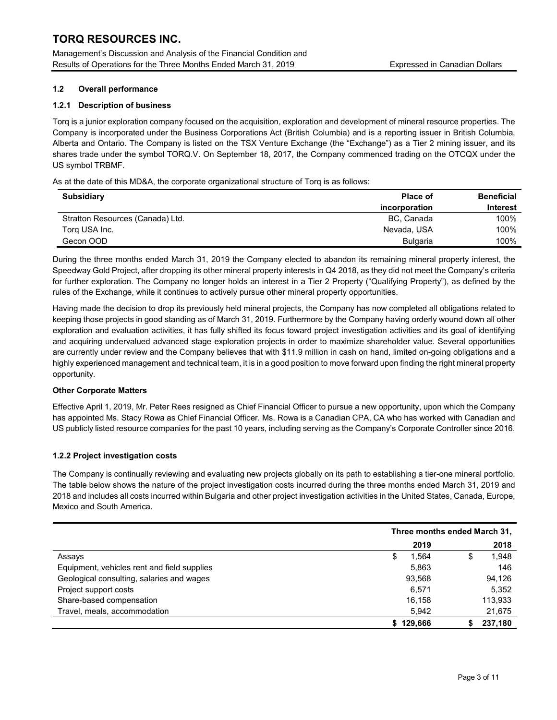Management's Discussion and Analysis of the Financial Condition and Results of Operations for the Three Months Ended March 31, 2019 Expressed in Canadian Dollars

## 1.2 Overall performance

## 1.2.1 Description of business

Torq is a junior exploration company focused on the acquisition, exploration and development of mineral resource properties. The Company is incorporated under the Business Corporations Act (British Columbia) and is a reporting issuer in British Columbia, Alberta and Ontario. The Company is listed on the TSX Venture Exchange (the "Exchange") as a Tier 2 mining issuer, and its shares trade under the symbol TORQ.V. On September 18, 2017, the Company commenced trading on the OTCQX under the US symbol TRBMF.

As at the date of this MD&A, the corporate organizational structure of Torq is as follows:

| <b>Subsidiary</b>                | <b>Place of</b> | <b>Beneficial</b> |
|----------------------------------|-----------------|-------------------|
|                                  | incorporation   | <b>Interest</b>   |
| Stratton Resources (Canada) Ltd. | BC, Canada      | 100%              |
| Torg USA Inc.                    | Nevada, USA     | 100%              |
| Gecon OOD                        | Bulgaria        | 100%              |

During the three months ended March 31, 2019 the Company elected to abandon its remaining mineral property interest, the Speedway Gold Project, after dropping its other mineral property interests in Q4 2018, as they did not meet the Company's criteria for further exploration. The Company no longer holds an interest in a Tier 2 Property ("Qualifying Property"), as defined by the rules of the Exchange, while it continues to actively pursue other mineral property opportunities.

Having made the decision to drop its previously held mineral projects, the Company has now completed all obligations related to keeping those projects in good standing as of March 31, 2019. Furthermore by the Company having orderly wound down all other exploration and evaluation activities, it has fully shifted its focus toward project investigation activities and its goal of identifying and acquiring undervalued advanced stage exploration projects in order to maximize shareholder value. Several opportunities are currently under review and the Company believes that with \$11.9 million in cash on hand, limited on-going obligations and a highly experienced management and technical team, it is in a good position to move forward upon finding the right mineral property opportunity.

# Other Corporate Matters

Effective April 1, 2019, Mr. Peter Rees resigned as Chief Financial Officer to pursue a new opportunity, upon which the Company has appointed Ms. Stacy Rowa as Chief Financial Officer. Ms. Rowa is a Canadian CPA, CA who has worked with Canadian and US publicly listed resource companies for the past 10 years, including serving as the Company's Corporate Controller since 2016.

# 1.2.2 Project investigation costs

The Company is continually reviewing and evaluating new projects globally on its path to establishing a tier-one mineral portfolio. The table below shows the nature of the project investigation costs incurred during the three months ended March 31, 2019 and 2018 and includes all costs incurred within Bulgaria and other project investigation activities in the United States, Canada, Europe, Mexico and South America.

|                                             | Three months ended March 31, |            |  |
|---------------------------------------------|------------------------------|------------|--|
|                                             | 2019                         | 2018       |  |
| Assays                                      | 1,564<br>S                   | 1,948<br>J |  |
| Equipment, vehicles rent and field supplies | 5,863                        | 146        |  |
| Geological consulting, salaries and wages   | 93.568                       | 94,126     |  |
| Project support costs                       | 6.571                        | 5,352      |  |
| Share-based compensation                    | 16.158                       | 113,933    |  |
| Travel, meals, accommodation                | 5,942                        | 21,675     |  |
|                                             | \$129.666                    | 237.180    |  |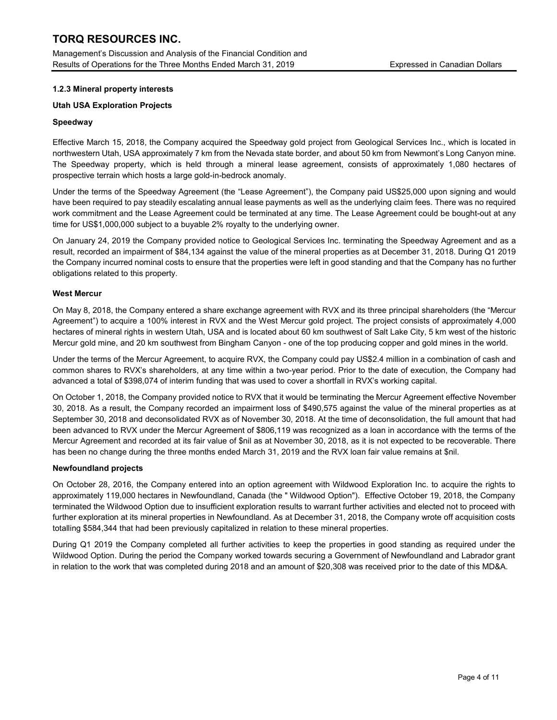Management's Discussion and Analysis of the Financial Condition and Results of Operations for the Three Months Ended March 31, 2019 Expressed in Canadian Dollars

### 1.2.3 Mineral property interests

### Utah USA Exploration Projects

### Speedway

Effective March 15, 2018, the Company acquired the Speedway gold project from Geological Services Inc., which is located in northwestern Utah, USA approximately 7 km from the Nevada state border, and about 50 km from Newmont's Long Canyon mine. The Speedway property, which is held through a mineral lease agreement, consists of approximately 1,080 hectares of prospective terrain which hosts a large gold-in-bedrock anomaly.

Under the terms of the Speedway Agreement (the "Lease Agreement"), the Company paid US\$25,000 upon signing and would have been required to pay steadily escalating annual lease payments as well as the underlying claim fees. There was no required work commitment and the Lease Agreement could be terminated at any time. The Lease Agreement could be bought-out at any time for US\$1,000,000 subject to a buyable 2% royalty to the underlying owner.

On January 24, 2019 the Company provided notice to Geological Services Inc. terminating the Speedway Agreement and as a result, recorded an impairment of \$84,134 against the value of the mineral properties as at December 31, 2018. During Q1 2019 the Company incurred nominal costs to ensure that the properties were left in good standing and that the Company has no further obligations related to this property.

### West Mercur

On May 8, 2018, the Company entered a share exchange agreement with RVX and its three principal shareholders (the "Mercur Agreement") to acquire a 100% interest in RVX and the West Mercur gold project. The project consists of approximately 4,000 hectares of mineral rights in western Utah, USA and is located about 60 km southwest of Salt Lake City, 5 km west of the historic Mercur gold mine, and 20 km southwest from Bingham Canyon - one of the top producing copper and gold mines in the world.

Under the terms of the Mercur Agreement, to acquire RVX, the Company could pay US\$2.4 million in a combination of cash and common shares to RVX's shareholders, at any time within a two-year period. Prior to the date of execution, the Company had advanced a total of \$398,074 of interim funding that was used to cover a shortfall in RVX's working capital.

On October 1, 2018, the Company provided notice to RVX that it would be terminating the Mercur Agreement effective November 30, 2018. As a result, the Company recorded an impairment loss of \$490,575 against the value of the mineral properties as at September 30, 2018 and deconsolidated RVX as of November 30, 2018. At the time of deconsolidation, the full amount that had been advanced to RVX under the Mercur Agreement of \$806,119 was recognized as a loan in accordance with the terms of the Mercur Agreement and recorded at its fair value of \$nil as at November 30, 2018, as it is not expected to be recoverable. There has been no change during the three months ended March 31, 2019 and the RVX loan fair value remains at \$nil.

### Newfoundland projects

On October 28, 2016, the Company entered into an option agreement with Wildwood Exploration Inc. to acquire the rights to approximately 119,000 hectares in Newfoundland, Canada (the " Wildwood Option"). Effective October 19, 2018, the Company terminated the Wildwood Option due to insufficient exploration results to warrant further activities and elected not to proceed with further exploration at its mineral properties in Newfoundland. As at December 31, 2018, the Company wrote off acquisition costs totalling \$584,344 that had been previously capitalized in relation to these mineral properties.

During Q1 2019 the Company completed all further activities to keep the properties in good standing as required under the Wildwood Option. During the period the Company worked towards securing a Government of Newfoundland and Labrador grant in relation to the work that was completed during 2018 and an amount of \$20,308 was received prior to the date of this MD&A.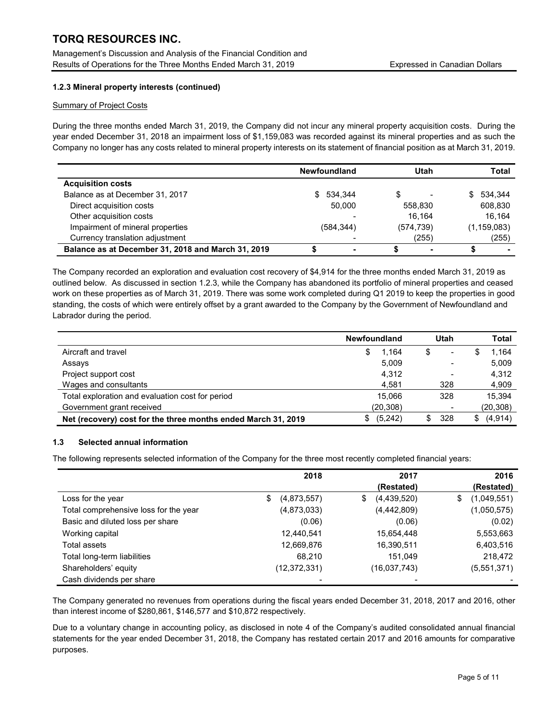Management's Discussion and Analysis of the Financial Condition and Results of Operations for the Three Months Ended March 31, 2019 **Expressed in Canadian Dollars** 

# 1.2.3 Mineral property interests (continued)

#### Summary of Project Costs

During the three months ended March 31, 2019, the Company did not incur any mineral property acquisition costs. During the year ended December 31, 2018 an impairment loss of \$1,159,083 was recorded against its mineral properties and as such the Company no longer has any costs related to mineral property interests on its statement of financial position as at March 31, 2019.

|                                                    | <b>Newfoundland</b> | Utah       | Total         |
|----------------------------------------------------|---------------------|------------|---------------|
| <b>Acquisition costs</b>                           |                     |            |               |
| Balance as at December 31, 2017                    | 534.344<br>S.       | S          | \$ 534.344    |
| Direct acquisition costs                           | 50.000              | 558.830    | 608,830       |
| Other acquisition costs                            |                     | 16.164     | 16.164        |
| Impairment of mineral properties                   | (584, 344)          | (574, 739) | (1, 159, 083) |
| Currency translation adjustment                    |                     | (255)      | (255)         |
| Balance as at December 31, 2018 and March 31, 2019 |                     |            |               |

The Company recorded an exploration and evaluation cost recovery of \$4,914 for the three months ended March 31, 2019 as outlined below. As discussed in section 1.2.3, while the Company has abandoned its portfolio of mineral properties and ceased work on these properties as of March 31, 2019. There was some work completed during Q1 2019 to keep the properties in good standing, the costs of which were entirely offset by a grant awarded to the Company by the Government of Newfoundland and Labrador during the period.

|                                                               | <b>Newfoundland</b> | Utah                     | Total           |
|---------------------------------------------------------------|---------------------|--------------------------|-----------------|
| Aircraft and travel                                           | 1.164<br>S          | \$<br>$\,$               | 1,164           |
| Assays                                                        | 5,009               |                          | 5,009           |
| Project support cost                                          | 4,312               | $\overline{\phantom{0}}$ | 4,312           |
| Wages and consultants                                         | 4.581               | 328                      | 4,909           |
| Total exploration and evaluation cost for period              | 15.066              | 328                      | 15,394          |
| Government grant received                                     | (20, 308)           |                          | (20, 308)       |
| Net (recovery) cost for the three months ended March 31, 2019 | (5,242)<br>S        | 328<br>\$                | (4, 914)<br>\$. |

### 1.3 Selected annual information

The following represents selected information of the Company for the three most recently completed financial years:

|                                       | 2018              | 2017              | 2016              |
|---------------------------------------|-------------------|-------------------|-------------------|
|                                       |                   | (Restated)        | (Restated)        |
| Loss for the year                     | \$<br>(4,873,557) | (4,439,520)<br>\$ | (1,049,551)<br>\$ |
| Total comprehensive loss for the year | (4,873,033)       | (4,442,809)       | (1,050,575)       |
| Basic and diluted loss per share      | (0.06)            | (0.06)            | (0.02)            |
| Working capital                       | 12,440,541        | 15,654,448        | 5,553,663         |
| Total assets                          | 12,669,876        | 16,390,511        | 6,403,516         |
| Total long-term liabilities           | 68.210            | 151.049           | 218,472           |
| Shareholders' equity                  | (12,372,331)      | (16,037,743)      | (5,551,371)       |
| Cash dividends per share              |                   |                   |                   |

The Company generated no revenues from operations during the fiscal years ended December 31, 2018, 2017 and 2016, other than interest income of \$280,861, \$146,577 and \$10,872 respectively.

Due to a voluntary change in accounting policy, as disclosed in note 4 of the Company's audited consolidated annual financial statements for the year ended December 31, 2018, the Company has restated certain 2017 and 2016 amounts for comparative purposes.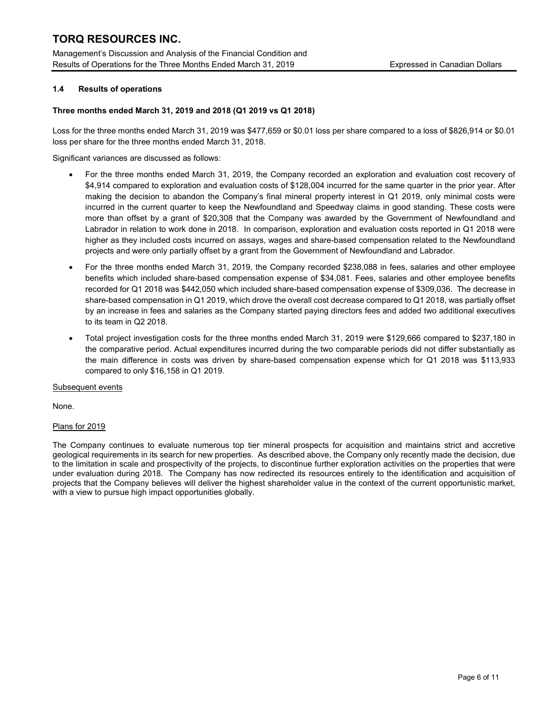Management's Discussion and Analysis of the Financial Condition and Results of Operations for the Three Months Ended March 31, 2019 Expressed in Canadian Dollars

## 1.4 Results of operations

#### Three months ended March 31, 2019 and 2018 (Q1 2019 vs Q1 2018)

Loss for the three months ended March 31, 2019 was \$477,659 or \$0.01 loss per share compared to a loss of \$826,914 or \$0.01 loss per share for the three months ended March 31, 2018.

Significant variances are discussed as follows:

- For the three months ended March 31, 2019, the Company recorded an exploration and evaluation cost recovery of \$4,914 compared to exploration and evaluation costs of \$128,004 incurred for the same quarter in the prior year. After making the decision to abandon the Company's final mineral property interest in Q1 2019, only minimal costs were incurred in the current quarter to keep the Newfoundland and Speedway claims in good standing. These costs were more than offset by a grant of \$20,308 that the Company was awarded by the Government of Newfoundland and Labrador in relation to work done in 2018. In comparison, exploration and evaluation costs reported in Q1 2018 were higher as they included costs incurred on assays, wages and share-based compensation related to the Newfoundland projects and were only partially offset by a grant from the Government of Newfoundland and Labrador.
- For the three months ended March 31, 2019, the Company recorded \$238,088 in fees, salaries and other employee benefits which included share-based compensation expense of \$34,081. Fees, salaries and other employee benefits recorded for Q1 2018 was \$442,050 which included share-based compensation expense of \$309,036. The decrease in share-based compensation in Q1 2019, which drove the overall cost decrease compared to Q1 2018, was partially offset by an increase in fees and salaries as the Company started paying directors fees and added two additional executives to its team in Q2 2018.
- Total project investigation costs for the three months ended March 31, 2019 were \$129,666 compared to \$237,180 in the comparative period. Actual expenditures incurred during the two comparable periods did not differ substantially as the main difference in costs was driven by share-based compensation expense which for Q1 2018 was \$113,933 compared to only \$16,158 in Q1 2019.

#### Subsequent events

None.

### Plans for 2019

The Company continues to evaluate numerous top tier mineral prospects for acquisition and maintains strict and accretive geological requirements in its search for new properties. As described above, the Company only recently made the decision, due to the limitation in scale and prospectivity of the projects, to discontinue further exploration activities on the properties that were under evaluation during 2018. The Company has now redirected its resources entirely to the identification and acquisition of projects that the Company believes will deliver the highest shareholder value in the context of the current opportunistic market, with a view to pursue high impact opportunities globally.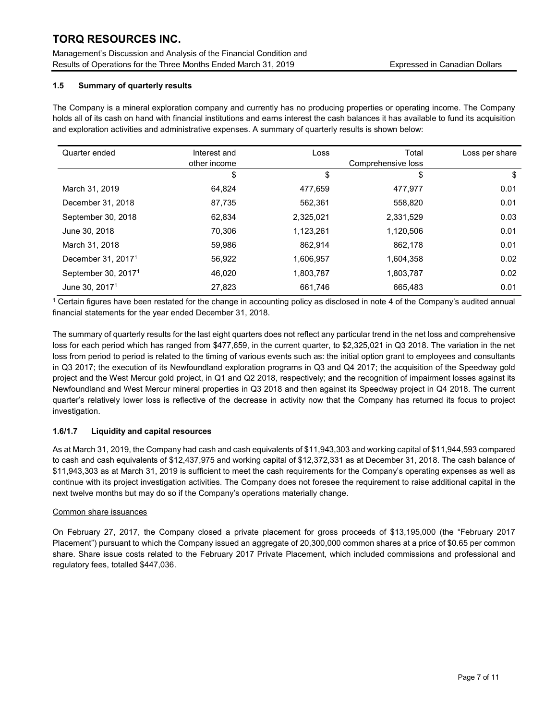Management's Discussion and Analysis of the Financial Condition and Results of Operations for the Three Months Ended March 31, 2019 Expressed in Canadian Dollars

## 1.5 Summary of quarterly results

The Company is a mineral exploration company and currently has no producing properties or operating income. The Company holds all of its cash on hand with financial institutions and earns interest the cash balances it has available to fund its acquisition and exploration activities and administrative expenses. A summary of quarterly results is shown below:

| Quarter ended                   | Interest and<br>other income | Loss      | Total<br>Comprehensive loss | Loss per share |
|---------------------------------|------------------------------|-----------|-----------------------------|----------------|
|                                 | \$                           | \$        | \$                          | \$             |
| March 31, 2019                  | 64.824                       | 477.659   | 477.977                     | 0.01           |
| December 31, 2018               | 87,735                       | 562,361   | 558,820                     | 0.01           |
| September 30, 2018              | 62.834                       | 2,325,021 | 2,331,529                   | 0.03           |
| June 30, 2018                   | 70.306                       | 1,123,261 | 1,120,506                   | 0.01           |
| March 31, 2018                  | 59.986                       | 862.914   | 862.178                     | 0.01           |
| December 31, 2017 <sup>1</sup>  | 56,922                       | 1,606,957 | 1,604,358                   | 0.02           |
| September 30, 2017 <sup>1</sup> | 46.020                       | 1,803,787 | 1,803,787                   | 0.02           |
| June 30, 2017 <sup>1</sup>      | 27,823                       | 661,746   | 665,483                     | 0.01           |

1 Certain figures have been restated for the change in accounting policy as disclosed in note 4 of the Company's audited annual financial statements for the year ended December 31, 2018.

The summary of quarterly results for the last eight quarters does not reflect any particular trend in the net loss and comprehensive loss for each period which has ranged from \$477,659, in the current quarter, to \$2,325,021 in Q3 2018. The variation in the net loss from period to period is related to the timing of various events such as: the initial option grant to employees and consultants in Q3 2017; the execution of its Newfoundland exploration programs in Q3 and Q4 2017; the acquisition of the Speedway gold project and the West Mercur gold project, in Q1 and Q2 2018, respectively; and the recognition of impairment losses against its Newfoundland and West Mercur mineral properties in Q3 2018 and then against its Speedway project in Q4 2018. The current quarter's relatively lower loss is reflective of the decrease in activity now that the Company has returned its focus to project investigation.

# 1.6/1.7 Liquidity and capital resources

As at March 31, 2019, the Company had cash and cash equivalents of \$11,943,303 and working capital of \$11,944,593 compared to cash and cash equivalents of \$12,437,975 and working capital of \$12,372,331 as at December 31, 2018. The cash balance of \$11,943,303 as at March 31, 2019 is sufficient to meet the cash requirements for the Company's operating expenses as well as continue with its project investigation activities. The Company does not foresee the requirement to raise additional capital in the next twelve months but may do so if the Company's operations materially change.

### Common share issuances

On February 27, 2017, the Company closed a private placement for gross proceeds of \$13,195,000 (the "February 2017 Placement") pursuant to which the Company issued an aggregate of 20,300,000 common shares at a price of \$0.65 per common share. Share issue costs related to the February 2017 Private Placement, which included commissions and professional and regulatory fees, totalled \$447,036.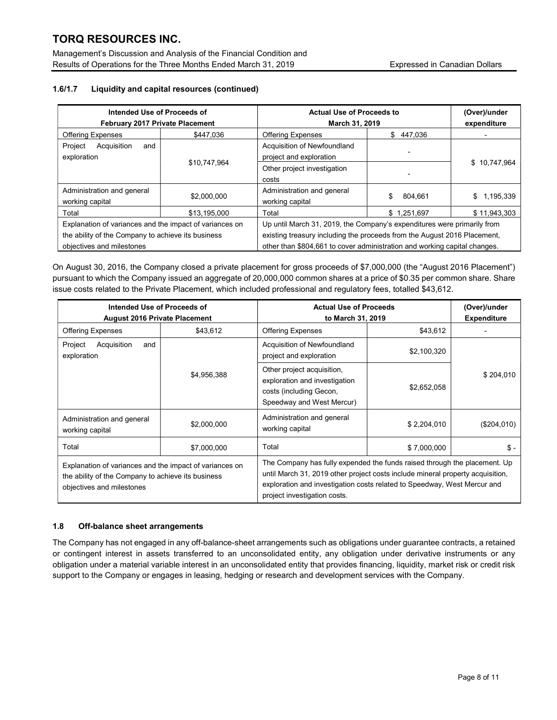Management's Discussion and Analysis of the Financial Condition and Results of Operations for the Three Months Ended March 31, 2019 **Expressed in Canadian Dollars** 

# 1.6/1.7 Liquidity and capital resources (continued)

| Intended Use of Proceeds of<br>February 2017 Private Placement                                                                             |              | <b>Actual Use of Proceeds to</b><br>March 31, 2019                                                                                                                                                                               |               | (Over)/under<br>expenditure |  |
|--------------------------------------------------------------------------------------------------------------------------------------------|--------------|----------------------------------------------------------------------------------------------------------------------------------------------------------------------------------------------------------------------------------|---------------|-----------------------------|--|
| <b>Offering Expenses</b>                                                                                                                   | \$447.036    | <b>Offering Expenses</b>                                                                                                                                                                                                         | \$<br>447.036 |                             |  |
| Project<br>Acquisition<br>and<br>exploration                                                                                               |              | Acquisition of Newfoundland<br>project and exploration                                                                                                                                                                           |               |                             |  |
|                                                                                                                                            | \$10,747,964 | Other project investigation<br>costs                                                                                                                                                                                             |               | \$10,747,964                |  |
| Administration and general<br>working capital                                                                                              | \$2,000,000  | Administration and general<br>working capital                                                                                                                                                                                    | \$<br>804.661 | \$1,195,339                 |  |
| Total                                                                                                                                      | \$13.195.000 | Total                                                                                                                                                                                                                            | \$1,251,697   | \$11.943.303                |  |
| Explanation of variances and the impact of variances on<br>the ability of the Company to achieve its business<br>objectives and milestones |              | Up until March 31, 2019, the Company's expenditures were primarily from<br>existing treasury including the proceeds from the August 2016 Placement,<br>other than \$804,661 to cover administration and working capital changes. |               |                             |  |

On August 30, 2016, the Company closed a private placement for gross proceeds of \$7,000,000 (the "August 2016 Placement") pursuant to which the Company issued an aggregate of 20,000,000 common shares at a price of \$0.35 per common share. Share issue costs related to the Private Placement, which included professional and regulatory fees, totalled \$43,612.

| Intended Use of Proceeds of<br><b>August 2016 Private Placement</b>                                                                        |                                                                                                                                    | <b>Actual Use of Proceeds</b><br>to March 31, 2019                                                                                                                                                                                                                      | (Over)/under<br><b>Expenditure</b> |             |  |
|--------------------------------------------------------------------------------------------------------------------------------------------|------------------------------------------------------------------------------------------------------------------------------------|-------------------------------------------------------------------------------------------------------------------------------------------------------------------------------------------------------------------------------------------------------------------------|------------------------------------|-------------|--|
| <b>Offering Expenses</b>                                                                                                                   | \$43,612                                                                                                                           | <b>Offering Expenses</b>                                                                                                                                                                                                                                                | \$43,612                           |             |  |
| Acquisition<br>Project<br>and<br>exploration                                                                                               |                                                                                                                                    | Acquisition of Newfoundland<br>project and exploration                                                                                                                                                                                                                  | \$2,100,320                        |             |  |
|                                                                                                                                            | Other project acquisition,<br>\$4,956,388<br>exploration and investigation<br>costs (including Gecon,<br>Speedway and West Mercur) |                                                                                                                                                                                                                                                                         | \$2,652,058                        | \$204,010   |  |
| Administration and general<br>working capital                                                                                              | \$2,000,000                                                                                                                        | Administration and general<br>working capital                                                                                                                                                                                                                           | \$2.204.010                        | (\$204,010) |  |
| Total                                                                                                                                      | \$7,000,000                                                                                                                        | Total                                                                                                                                                                                                                                                                   | \$7,000,000                        |             |  |
| Explanation of variances and the impact of variances on<br>the ability of the Company to achieve its business<br>objectives and milestones |                                                                                                                                    | The Company has fully expended the funds raised through the placement. Up<br>until March 31, 2019 other project costs include mineral property acquisition,<br>exploration and investigation costs related to Speedway, West Mercur and<br>project investigation costs. |                                    |             |  |

# 1.8 Off-balance sheet arrangements

The Company has not engaged in any off-balance-sheet arrangements such as obligations under guarantee contracts, a retained or contingent interest in assets transferred to an unconsolidated entity, any obligation under derivative instruments or any obligation under a material variable interest in an unconsolidated entity that provides financing, liquidity, market risk or credit risk support to the Company or engages in leasing, hedging or research and development services with the Company.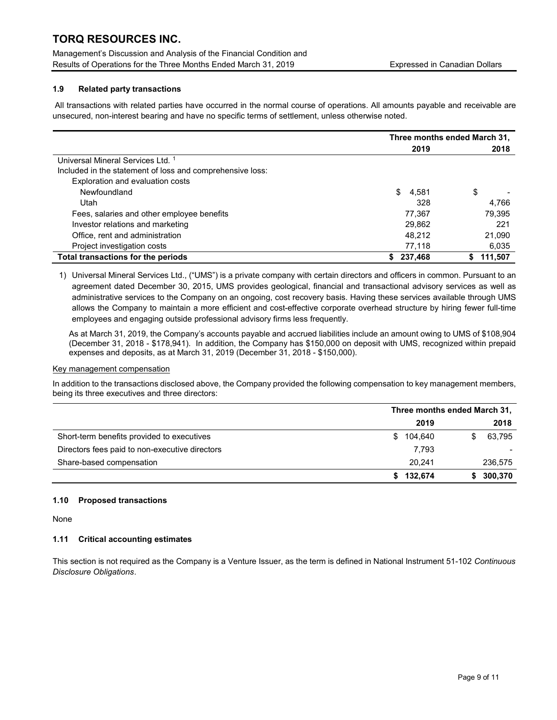Management's Discussion and Analysis of the Financial Condition and Results of Operations for the Three Months Ended March 31, 2019 Expressed in Canadian Dollars

# 1.9 Related party transactions

All transactions with related parties have occurred in the normal course of operations. All amounts payable and receivable are unsecured, non-interest bearing and have no specific terms of settlement, unless otherwise noted.

|                                                           | Three months ended March 31, |               |  |
|-----------------------------------------------------------|------------------------------|---------------|--|
|                                                           | 2019                         | 2018          |  |
| Universal Mineral Services Ltd. <sup>1</sup>              |                              |               |  |
| Included in the statement of loss and comprehensive loss: |                              |               |  |
| Exploration and evaluation costs                          |                              |               |  |
| Newfoundland                                              | \$<br>4,581                  | \$            |  |
| Utah                                                      | 328                          | 4,766         |  |
| Fees, salaries and other employee benefits                | 77,367                       | 79,395        |  |
| Investor relations and marketing                          | 29,862                       | 221           |  |
| Office, rent and administration                           | 48,212                       | 21,090        |  |
| Project investigation costs                               | 77.118                       | 6,035         |  |
| Total transactions for the periods                        | 237,468<br>S.                | 111.507<br>S. |  |

1) Universal Mineral Services Ltd., ("UMS") is a private company with certain directors and officers in common. Pursuant to an agreement dated December 30, 2015, UMS provides geological, financial and transactional advisory services as well as administrative services to the Company on an ongoing, cost recovery basis. Having these services available through UMS allows the Company to maintain a more efficient and cost-effective corporate overhead structure by hiring fewer full-time employees and engaging outside professional advisory firms less frequently.

As at March 31, 2019, the Company's accounts payable and accrued liabilities include an amount owing to UMS of \$108,904 (December 31, 2018 - \$178,941). In addition, the Company has \$150,000 on deposit with UMS, recognized within prepaid expenses and deposits, as at March 31, 2019 (December 31, 2018 - \$150,000).

#### Key management compensation

In addition to the transactions disclosed above, the Company provided the following compensation to key management members, being its three executives and three directors:

|                                                | Three months ended March 31, |         |  |         |
|------------------------------------------------|------------------------------|---------|--|---------|
|                                                |                              | 2019    |  | 2018    |
| Short-term benefits provided to executives     | S.                           | 104,640 |  | 63,795  |
| Directors fees paid to non-executive directors |                              | 7,793   |  |         |
| Share-based compensation                       |                              | 20.241  |  | 236,575 |
|                                                | S.                           | 132,674 |  | 300,370 |

## 1.10 Proposed transactions

None

### 1.11 Critical accounting estimates

This section is not required as the Company is a Venture Issuer, as the term is defined in National Instrument 51-102 Continuous Disclosure Obligations.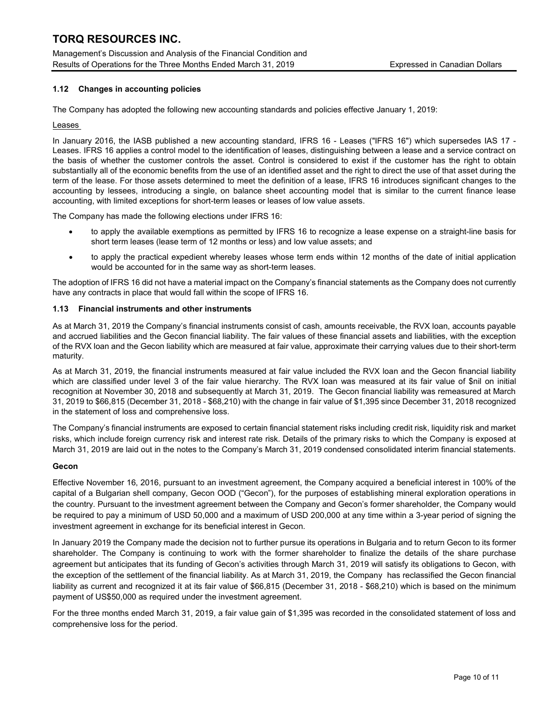Management's Discussion and Analysis of the Financial Condition and Results of Operations for the Three Months Ended March 31, 2019 Expressed in Canadian Dollars

## 1.12 Changes in accounting policies

The Company has adopted the following new accounting standards and policies effective January 1, 2019:

### Leases

In January 2016, the IASB published a new accounting standard, IFRS 16 - Leases ("IFRS 16") which supersedes IAS 17 - Leases. IFRS 16 applies a control model to the identification of leases, distinguishing between a lease and a service contract on the basis of whether the customer controls the asset. Control is considered to exist if the customer has the right to obtain substantially all of the economic benefits from the use of an identified asset and the right to direct the use of that asset during the term of the lease. For those assets determined to meet the definition of a lease, IFRS 16 introduces significant changes to the accounting by lessees, introducing a single, on balance sheet accounting model that is similar to the current finance lease accounting, with limited exceptions for short-term leases or leases of low value assets.

The Company has made the following elections under IFRS 16:

- to apply the available exemptions as permitted by IFRS 16 to recognize a lease expense on a straight-line basis for short term leases (lease term of 12 months or less) and low value assets; and
- to apply the practical expedient whereby leases whose term ends within 12 months of the date of initial application would be accounted for in the same way as short-term leases.

The adoption of IFRS 16 did not have a material impact on the Company's financial statements as the Company does not currently have any contracts in place that would fall within the scope of IFRS 16.

### 1.13 Financial instruments and other instruments

As at March 31, 2019 the Company's financial instruments consist of cash, amounts receivable, the RVX loan, accounts payable and accrued liabilities and the Gecon financial liability. The fair values of these financial assets and liabilities, with the exception of the RVX loan and the Gecon liability which are measured at fair value, approximate their carrying values due to their short-term maturity.

As at March 31, 2019, the financial instruments measured at fair value included the RVX loan and the Gecon financial liability which are classified under level 3 of the fair value hierarchy. The RVX loan was measured at its fair value of \$nil on initial recognition at November 30, 2018 and subsequently at March 31, 2019. The Gecon financial liability was remeasured at March 31, 2019 to \$66,815 (December 31, 2018 - \$68,210) with the change in fair value of \$1,395 since December 31, 2018 recognized in the statement of loss and comprehensive loss.

The Company's financial instruments are exposed to certain financial statement risks including credit risk, liquidity risk and market risks, which include foreign currency risk and interest rate risk. Details of the primary risks to which the Company is exposed at March 31, 2019 are laid out in the notes to the Company's March 31, 2019 condensed consolidated interim financial statements.

### Gecon

Effective November 16, 2016, pursuant to an investment agreement, the Company acquired a beneficial interest in 100% of the capital of a Bulgarian shell company, Gecon OOD ("Gecon"), for the purposes of establishing mineral exploration operations in the country. Pursuant to the investment agreement between the Company and Gecon's former shareholder, the Company would be required to pay a minimum of USD 50,000 and a maximum of USD 200,000 at any time within a 3-year period of signing the investment agreement in exchange for its beneficial interest in Gecon.

In January 2019 the Company made the decision not to further pursue its operations in Bulgaria and to return Gecon to its former shareholder. The Company is continuing to work with the former shareholder to finalize the details of the share purchase agreement but anticipates that its funding of Gecon's activities through March 31, 2019 will satisfy its obligations to Gecon, with the exception of the settlement of the financial liability. As at March 31, 2019, the Company has reclassified the Gecon financial liability as current and recognized it at its fair value of \$66,815 (December 31, 2018 - \$68,210) which is based on the minimum payment of US\$50,000 as required under the investment agreement.

For the three months ended March 31, 2019, a fair value gain of \$1,395 was recorded in the consolidated statement of loss and comprehensive loss for the period.